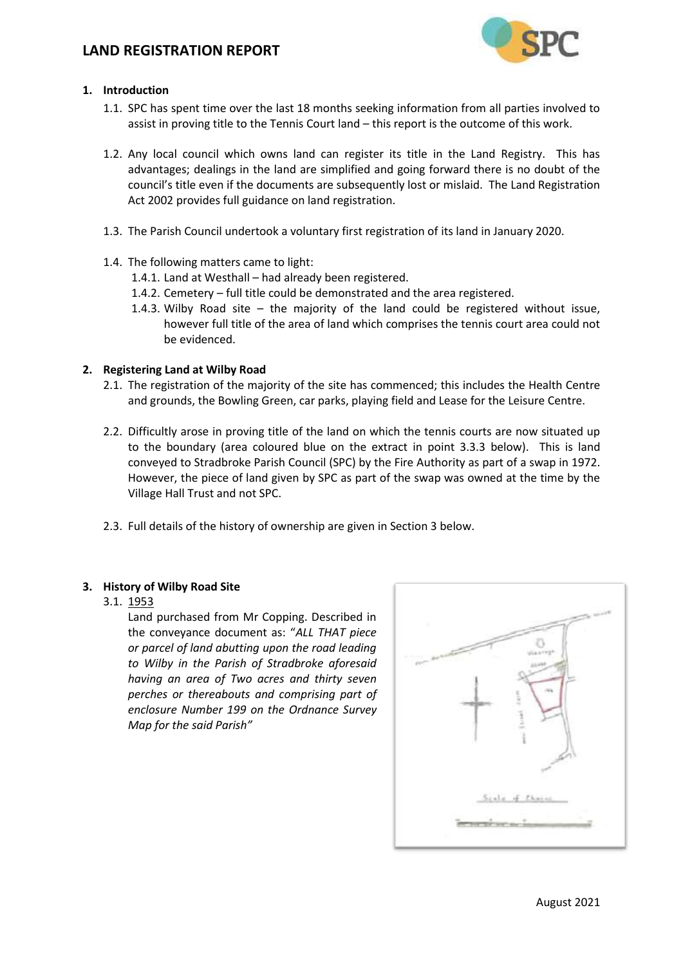

### **1. Introduction**

- 1.1. SPC has spent time over the last 18 months seeking information from all parties involved to assist in proving title to the Tennis Court land – this report is the outcome of this work.
- 1.2. Any local council which owns land can register its title in the Land Registry. This has advantages; dealings in the land are simplified and going forward there is no doubt of the council's title even if the documents are subsequently lost or mislaid. The Land Registration Act 2002 provides full guidance on land registration.
- 1.3. The Parish Council undertook a voluntary first registration of its land in January 2020.
- 1.4. The following matters came to light:
	- 1.4.1. Land at Westhall had already been registered.
	- 1.4.2. Cemetery full title could be demonstrated and the area registered.
	- 1.4.3. Wilby Road site the majority of the land could be registered without issue, however full title of the area of land which comprises the tennis court area could not be evidenced.

### **2. Registering Land at Wilby Road**

- 2.1. The registration of the majority of the site has commenced; this includes the Health Centre and grounds, the Bowling Green, car parks, playing field and Lease for the Leisure Centre.
- 2.2. Difficultly arose in proving title of the land on which the tennis courts are now situated up to the boundary (area coloured blue on the extract in point 3.3.3 below). This is land conveyed to Stradbroke Parish Council (SPC) by the Fire Authority as part of a swap in 1972. However, the piece of land given by SPC as part of the swap was owned at the time by the Village Hall Trust and not SPC.
- 2.3. Full details of the history of ownership are given in Section 3 below.

#### **3. History of Wilby Road Site**

#### 3.1. 1953

Land purchased from Mr Copping. Described in the conveyance document as: "*ALL THAT piece or parcel of land abutting upon the road leading to Wilby in the Parish of Stradbroke aforesaid having an area of Two acres and thirty seven perches or thereabouts and comprising part of enclosure Number 199 on the Ordnance Survey Map for the said Parish"*

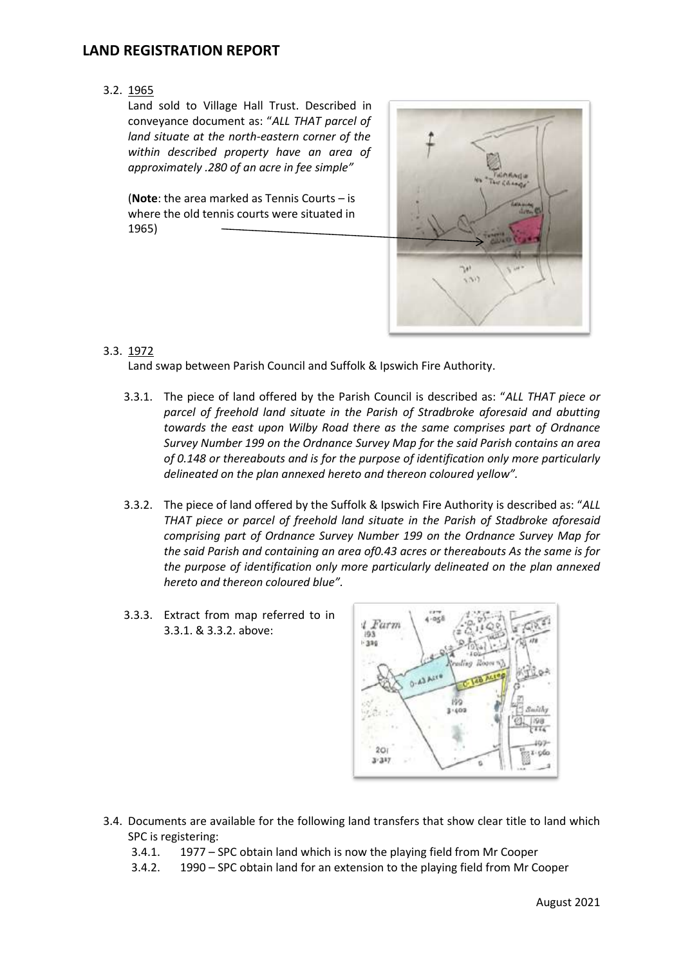3.2. 1965

Land sold to Village Hall Trust. Described in conveyance document as: "*ALL THAT parcel of land situate at the north-eastern corner of the within described property have an area of approximately .280 of an acre in fee simple"*

(**Note**: the area marked as Tennis Courts – is where the old tennis courts were situated in 1965)



### 3.3. 1972

Land swap between Parish Council and Suffolk & Ipswich Fire Authority.

- 3.3.1. The piece of land offered by the Parish Council is described as: "*ALL THAT piece or parcel of freehold land situate in the Parish of Stradbroke aforesaid and abutting towards the east upon Wilby Road there as the same comprises part of Ordnance Survey Number 199 on the Ordnance Survey Map for the said Parish contains an area of 0.148 or thereabouts and is for the purpose of identification only more particularly delineated on the plan annexed hereto and thereon coloured yellow".*
- 3.3.2. The piece of land offered by the Suffolk & Ipswich Fire Authority is described as: "*ALL THAT piece or parcel of freehold land situate in the Parish of Stadbroke aforesaid comprising part of Ordnance Survey Number 199 on the Ordnance Survey Map for the said Parish and containing an area of0.43 acres or thereabouts As the same is for the purpose of identification only more particularly delineated on the plan annexed hereto and thereon coloured blue".*
- 3.3.3. Extract from map referred to in 3.3.1. & 3.3.2. above:



- 3.4. Documents are available for the following land transfers that show clear title to land which SPC is registering:
	- 3.4.1. 1977 SPC obtain land which is now the playing field from Mr Cooper
	- 3.4.2. 1990 SPC obtain land for an extension to the playing field from Mr Cooper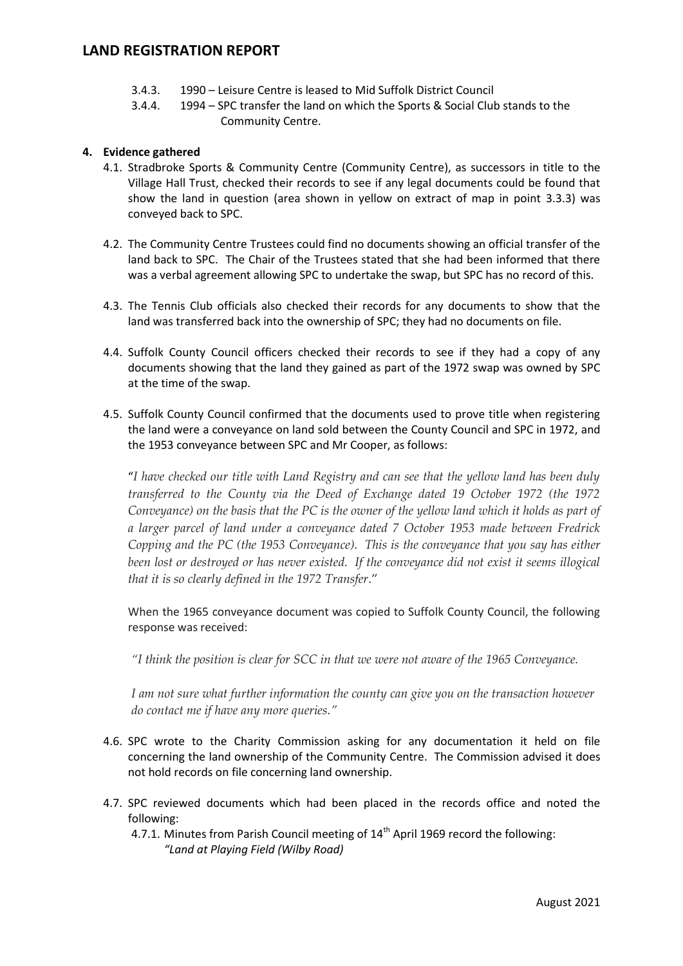- 3.4.3. 1990 Leisure Centre is leased to Mid Suffolk District Council
- 3.4.4. 1994 SPC transfer the land on which the Sports & Social Club stands to the Community Centre.

#### **4. Evidence gathered**

- 4.1. Stradbroke Sports & Community Centre (Community Centre), as successors in title to the Village Hall Trust, checked their records to see if any legal documents could be found that show the land in question (area shown in yellow on extract of map in point 3.3.3) was conveyed back to SPC.
- 4.2. The Community Centre Trustees could find no documents showing an official transfer of the land back to SPC. The Chair of the Trustees stated that she had been informed that there was a verbal agreement allowing SPC to undertake the swap, but SPC has no record of this.
- 4.3. The Tennis Club officials also checked their records for any documents to show that the land was transferred back into the ownership of SPC; they had no documents on file.
- 4.4. Suffolk County Council officers checked their records to see if they had a copy of any documents showing that the land they gained as part of the 1972 swap was owned by SPC at the time of the swap.
- 4.5. Suffolk County Council confirmed that the documents used to prove title when registering the land were a conveyance on land sold between the County Council and SPC in 1972, and the 1953 conveyance between SPC and Mr Cooper, as follows:

"*I have checked our title with Land Registry and can see that the yellow land has been duly transferred to the County via the Deed of Exchange dated 19 October 1972 (the 1972 Conveyance) on the basis that the PC is the owner of the yellow land which it holds as part of a larger parcel of land under a conveyance dated 7 October 1953 made between Fredrick Copping and the PC (the 1953 Conveyance). This is the conveyance that you say has either been lost or destroyed or has never existed. If the conveyance did not exist it seems illogical that it is so clearly defined in the 1972 Transfer*."

When the 1965 conveyance document was copied to Suffolk County Council, the following response was received:

*"I think the position is clear for SCC in that we were not aware of the 1965 Conveyance.*

*I am not sure what further information the county can give you on the transaction however do contact me if have any more queries."*

- 4.6. SPC wrote to the Charity Commission asking for any documentation it held on file concerning the land ownership of the Community Centre. The Commission advised it does not hold records on file concerning land ownership.
- 4.7. SPC reviewed documents which had been placed in the records office and noted the following:
	- 4.7.1. Minutes from Parish Council meeting of  $14^{\text{th}}$  April 1969 record the following: *"Land at Playing Field (Wilby Road)*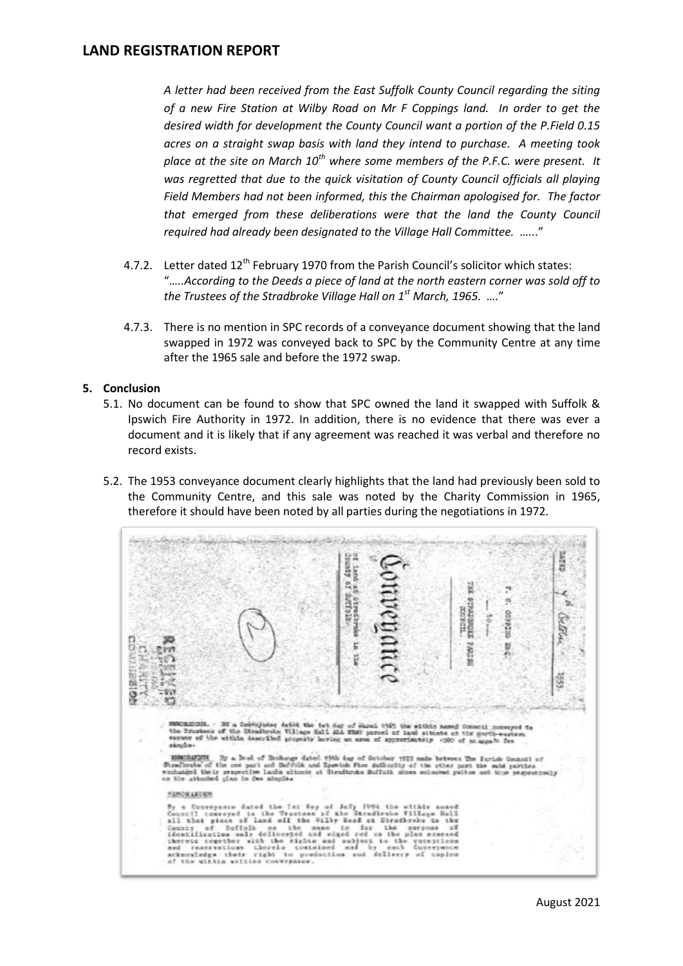*A letter had been received from the East Suffolk County Council regarding the siting of a new Fire Station at Wilby Road on Mr F Coppings land. In order to get the desired width for development the County Council want a portion of the P.Field 0.15 acres on a straight swap basis with land they intend to purchase. A meeting took place at the site on March 10th where some members of the P.F.C. were present. It was regretted that due to the quick visitation of County Council officials all playing Field Members had not been informed, this the Chairman apologised for. The factor that emerged from these deliberations were that the land the County Council required had already been designated to the Village Hall Committee. …..*."

- 4.7.2. Letter dated 12<sup>th</sup> February 1970 from the Parish Council's solicitor which states: "*…..According to the Deeds a piece of land at the north eastern corner was sold off to the Trustees of the Stradbroke Village Hall on 1st March, 1965. ….*"
- 4.7.3. There is no mention in SPC records of a conveyance document showing that the land swapped in 1972 was conveyed back to SPC by the Community Centre at any time after the 1965 sale and before the 1972 swap.

#### **5. Conclusion**

- 5.1. No document can be found to show that SPC owned the land it swapped with Suffolk & Ipswich Fire Authority in 1972. In addition, there is no evidence that there was ever a document and it is likely that if any agreement was reached it was verbal and therefore no record exists.
- 5.2. The 1953 conveyance document clearly highlights that the land had previously been sold to the Community Centre, and this sale was noted by the Charity Commission in 1965, therefore it should have been noted by all parties during the negotiations in 1972.

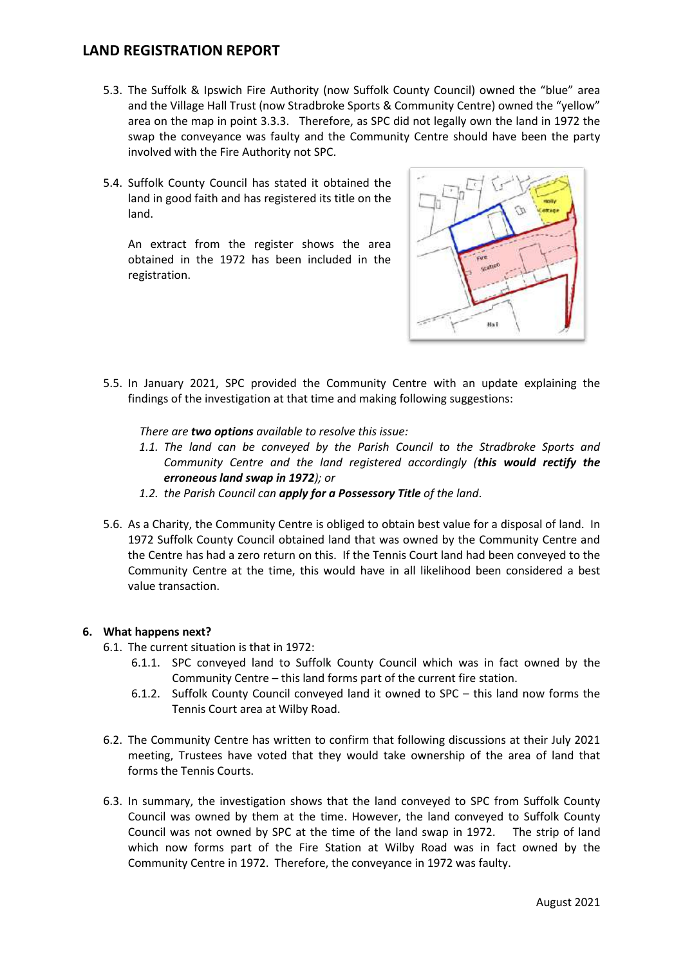- 5.3. The Suffolk & Ipswich Fire Authority (now Suffolk County Council) owned the "blue" area and the Village Hall Trust (now Stradbroke Sports & Community Centre) owned the "yellow" area on the map in point 3.3.3. Therefore, as SPC did not legally own the land in 1972 the swap the conveyance was faulty and the Community Centre should have been the party involved with the Fire Authority not SPC.
- 5.4. Suffolk County Council has stated it obtained the land in good faith and has registered its title on the land.

An extract from the register shows the area obtained in the 1972 has been included in the registration.



5.5. In January 2021, SPC provided the Community Centre with an update explaining the findings of the investigation at that time and making following suggestions:

*There are two options available to resolve this issue:*

- *1.1. The land can be conveyed by the Parish Council to the Stradbroke Sports and Community Centre and the land registered accordingly (this would rectify the erroneous land swap in 1972); or*
- *1.2. the Parish Council can apply for a Possessory Title of the land*.
- 5.6. As a Charity, the Community Centre is obliged to obtain best value for a disposal of land. In 1972 Suffolk County Council obtained land that was owned by the Community Centre and the Centre has had a zero return on this. If the Tennis Court land had been conveyed to the Community Centre at the time, this would have in all likelihood been considered a best value transaction.

#### **6. What happens next?**

- 6.1. The current situation is that in 1972:
	- 6.1.1. SPC conveyed land to Suffolk County Council which was in fact owned by the Community Centre – this land forms part of the current fire station.
	- 6.1.2. Suffolk County Council conveyed land it owned to SPC this land now forms the Tennis Court area at Wilby Road.
- 6.2. The Community Centre has written to confirm that following discussions at their July 2021 meeting, Trustees have voted that they would take ownership of the area of land that forms the Tennis Courts.
- 6.3. In summary, the investigation shows that the land conveyed to SPC from Suffolk County Council was owned by them at the time. However, the land conveyed to Suffolk County Council was not owned by SPC at the time of the land swap in 1972. The strip of land which now forms part of the Fire Station at Wilby Road was in fact owned by the Community Centre in 1972. Therefore, the conveyance in 1972 was faulty.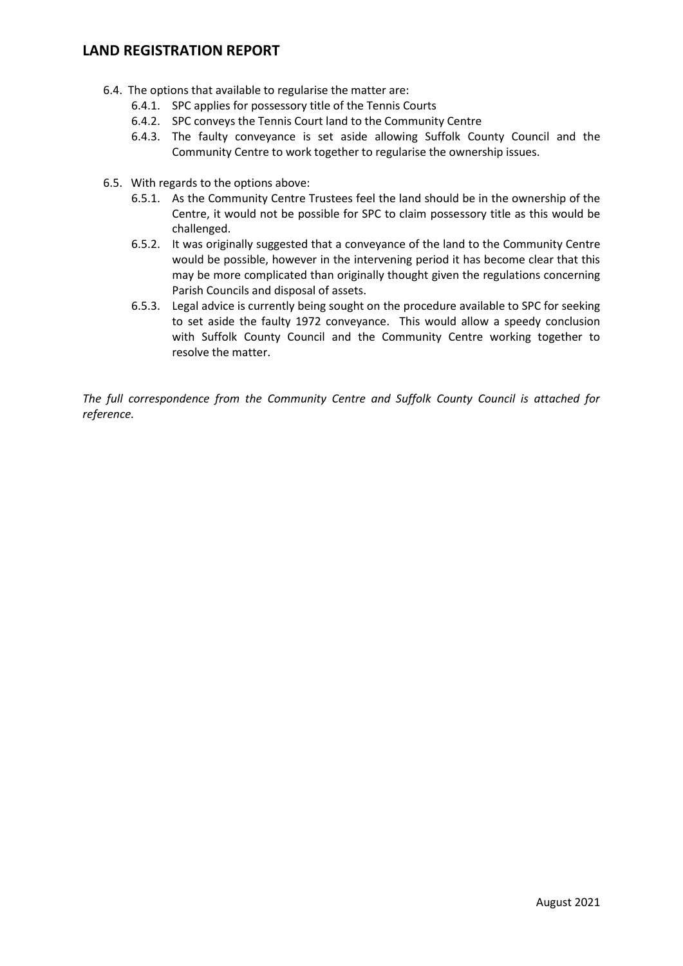- 6.4. The options that available to regularise the matter are:
	- 6.4.1. SPC applies for possessory title of the Tennis Courts
	- 6.4.2. SPC conveys the Tennis Court land to the Community Centre
	- 6.4.3. The faulty conveyance is set aside allowing Suffolk County Council and the Community Centre to work together to regularise the ownership issues.
- 6.5. With regards to the options above:
	- 6.5.1. As the Community Centre Trustees feel the land should be in the ownership of the Centre, it would not be possible for SPC to claim possessory title as this would be challenged.
	- 6.5.2. It was originally suggested that a conveyance of the land to the Community Centre would be possible, however in the intervening period it has become clear that this may be more complicated than originally thought given the regulations concerning Parish Councils and disposal of assets.
	- 6.5.3. Legal advice is currently being sought on the procedure available to SPC for seeking to set aside the faulty 1972 conveyance. This would allow a speedy conclusion with Suffolk County Council and the Community Centre working together to resolve the matter.

*The full correspondence from the Community Centre and Suffolk County Council is attached for reference.*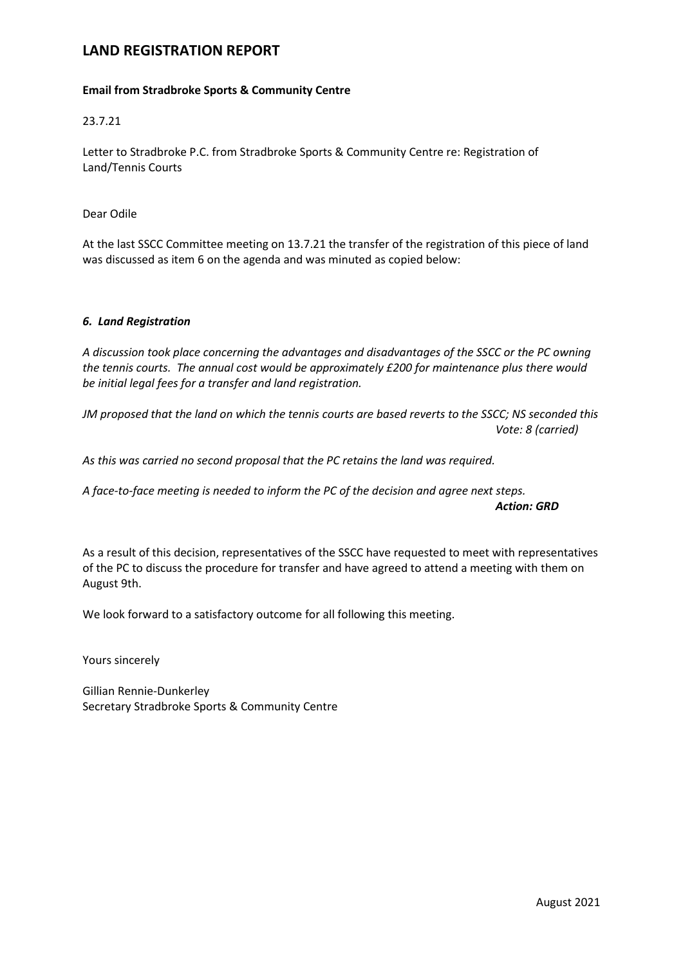#### **Email from Stradbroke Sports & Community Centre**

#### 23.7.21

Letter to Stradbroke P.C. from Stradbroke Sports & Community Centre re: Registration of Land/Tennis Courts

Dear Odile

At the last SSCC Committee meeting on 13.7.21 the transfer of the registration of this piece of land was discussed as item 6 on the agenda and was minuted as copied below:

#### *6. Land Registration*

*A discussion took place concerning the advantages and disadvantages of the SSCC or the PC owning the tennis courts. The annual cost would be approximately £200 for maintenance plus there would be initial legal fees for a transfer and land registration.*

JM proposed that the land on which the tennis courts are based reverts to the SSCC; NS seconded this *Vote: 8 (carried)*

*As this was carried no second proposal that the PC retains the land was required.*

*A face-to-face meeting is needed to inform the PC of the decision and agree next steps.*

*Action: GRD*

As a result of this decision, representatives of the SSCC have requested to meet with representatives of the PC to discuss the procedure for transfer and have agreed to attend a meeting with them on August 9th.

We look forward to a satisfactory outcome for all following this meeting.

Yours sincerely

Gillian Rennie-Dunkerley Secretary Stradbroke Sports & Community Centre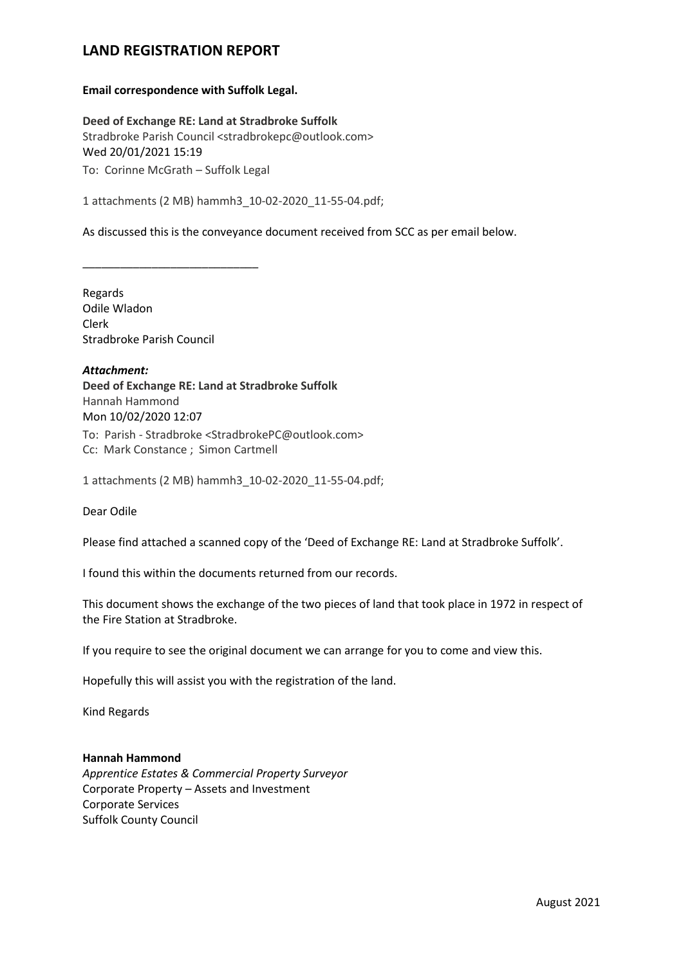#### **Email correspondence with Suffolk Legal.**

**Deed of Exchange RE: Land at Stradbroke Suffolk** Stradbroke Parish Council <stradbrokepc@outlook.com> Wed 20/01/2021 15:19 To: Corinne McGrath – Suffolk Legal

1 attachments (2 MB) hammh3\_10-02-2020\_11-55-04.pdf;

As discussed this is the conveyance document received from SCC as per email below.

Regards Odile Wladon Clerk Stradbroke Parish Council

\_\_\_\_\_\_\_\_\_\_\_\_\_\_\_\_\_\_\_\_\_\_\_\_\_\_\_\_

*Attachment:* **Deed of Exchange RE: Land at Stradbroke Suffolk** Hannah Hammond Mon 10/02/2020 12:07 To: Parish - Stradbroke <StradbrokePC@outlook.com> Cc: Mark Constance ; Simon Cartmell

1 attachments (2 MB) hammh3\_10-02-2020\_11-55-04.pdf;

Dear Odile

Please find attached a scanned copy of the 'Deed of Exchange RE: Land at Stradbroke Suffolk'.

I found this within the documents returned from our records.

This document shows the exchange of the two pieces of land that took place in 1972 in respect of the Fire Station at Stradbroke.

If you require to see the original document we can arrange for you to come and view this.

Hopefully this will assist you with the registration of the land.

Kind Regards

#### **Hannah Hammond**

*Apprentice Estates & Commercial Property Surveyor* Corporate Property – Assets and Investment Corporate Services Suffolk County Council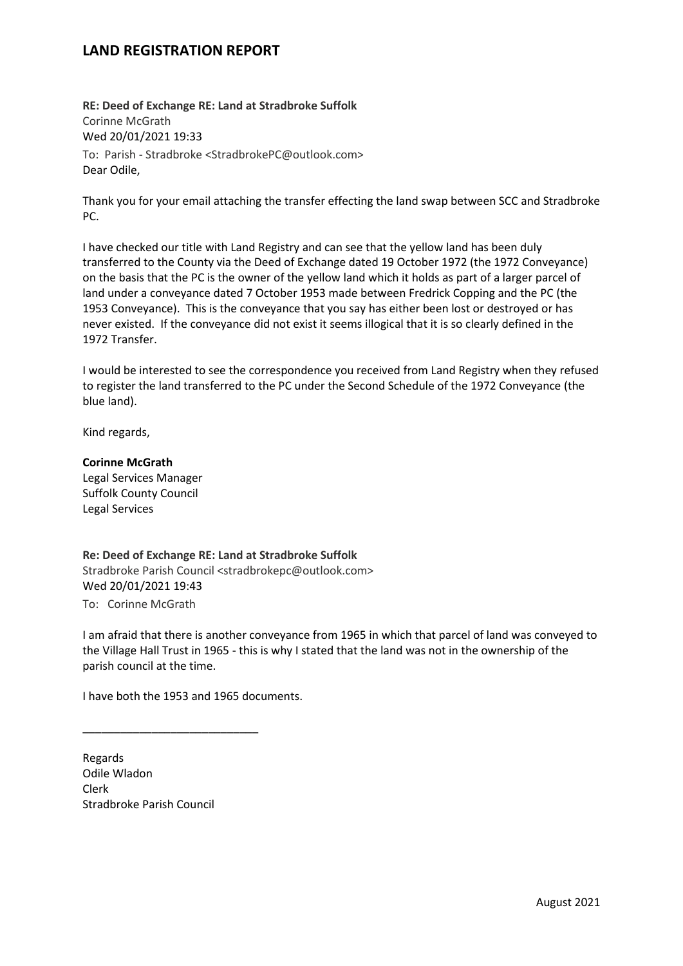**RE: Deed of Exchange RE: Land at Stradbroke Suffolk** Corinne McGrath Wed 20/01/2021 19:33 To: Parish - Stradbroke <StradbrokePC@outlook.com> Dear Odile,

Thank you for your email attaching the transfer effecting the land swap between SCC and Stradbroke PC.

I have checked our title with Land Registry and can see that the yellow land has been duly transferred to the County via the Deed of Exchange dated 19 October 1972 (the 1972 Conveyance) on the basis that the PC is the owner of the yellow land which it holds as part of a larger parcel of land under a conveyance dated 7 October 1953 made between Fredrick Copping and the PC (the 1953 Conveyance). This is the conveyance that you say has either been lost or destroyed or has never existed. If the conveyance did not exist it seems illogical that it is so clearly defined in the 1972 Transfer.

I would be interested to see the correspondence you received from Land Registry when they refused to register the land transferred to the PC under the Second Schedule of the 1972 Conveyance (the blue land).

Kind regards,

**Corinne McGrath** Legal Services Manager Suffolk County Council Legal Services

**Re: Deed of Exchange RE: Land at Stradbroke Suffolk** Stradbroke Parish Council <stradbrokepc@outlook.com> Wed 20/01/2021 19:43 To: Corinne McGrath

I am afraid that there is another conveyance from 1965 in which that parcel of land was conveyed to the Village Hall Trust in 1965 - this is why I stated that the land was not in the ownership of the parish council at the time.

I have both the 1953 and 1965 documents.

\_\_\_\_\_\_\_\_\_\_\_\_\_\_\_\_\_\_\_\_\_\_\_\_\_\_\_\_

Regards Odile Wladon Clerk Stradbroke Parish Council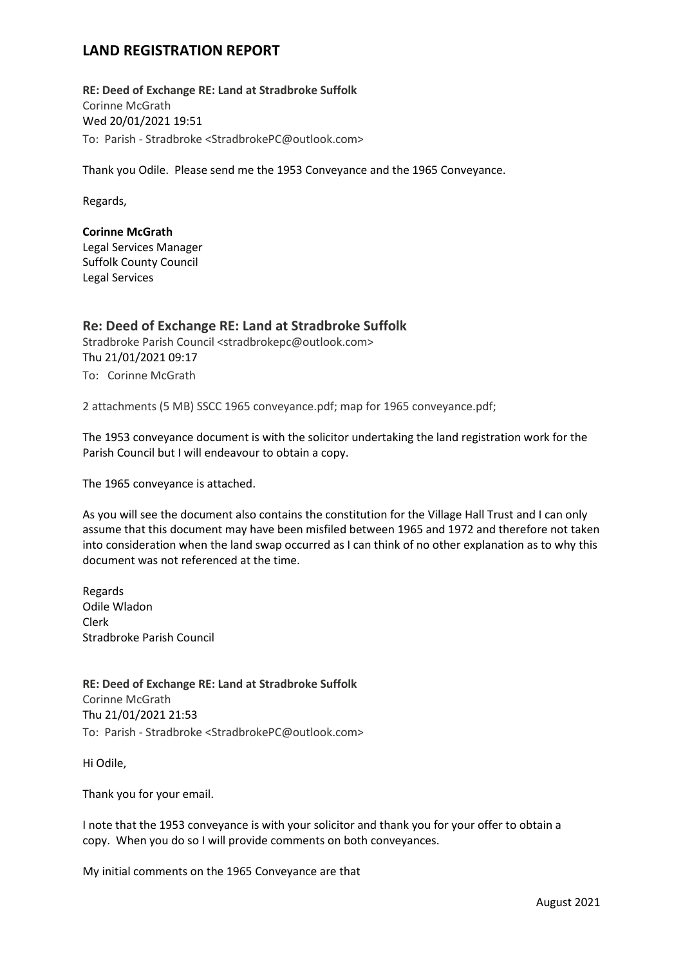**RE: Deed of Exchange RE: Land at Stradbroke Suffolk** Corinne McGrath Wed 20/01/2021 19:51 To: Parish - Stradbroke <StradbrokePC@outlook.com>

Thank you Odile. Please send me the 1953 Conveyance and the 1965 Conveyance.

Regards,

#### **Corinne McGrath**

Legal Services Manager Suffolk County Council Legal Services

### **Re: Deed of Exchange RE: Land at Stradbroke Suffolk**

Stradbroke Parish Council <stradbrokepc@outlook.com> Thu 21/01/2021 09:17 To: Corinne McGrath

2 attachments (5 MB) SSCC 1965 conveyance.pdf; map for 1965 conveyance.pdf;

The 1953 conveyance document is with the solicitor undertaking the land registration work for the Parish Council but I will endeavour to obtain a copy.

The 1965 conveyance is attached.

As you will see the document also contains the constitution for the Village Hall Trust and I can only assume that this document may have been misfiled between 1965 and 1972 and therefore not taken into consideration when the land swap occurred as I can think of no other explanation as to why this document was not referenced at the time.

Regards Odile Wladon Clerk Stradbroke Parish Council

**RE: Deed of Exchange RE: Land at Stradbroke Suffolk** Corinne McGrath Thu 21/01/2021 21:53 To: Parish - Stradbroke <StradbrokePC@outlook.com>

Hi Odile,

Thank you for your email.

I note that the 1953 conveyance is with your solicitor and thank you for your offer to obtain a copy. When you do so I will provide comments on both conveyances.

My initial comments on the 1965 Conveyance are that